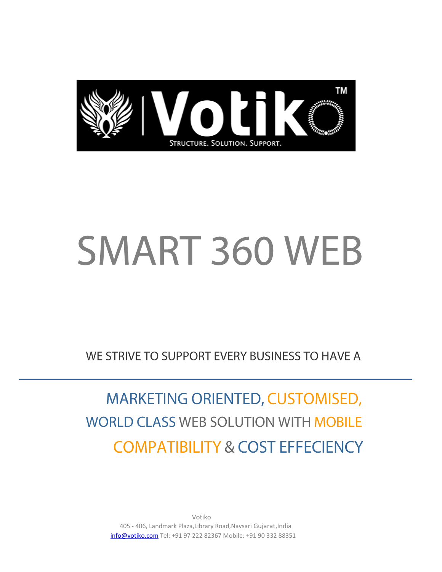

# SMART 360 WEB

WE STRIVE TO SUPPORT EVERY BUSINESS TO HAVE A

MARKETING ORIENTED, CUSTOMISED, **WORLD CLASS WEB SOLUTION WITH MOBILE COMPATIBILITY & COST EFFECIENCY** 

Votiko 405 - 406, Landmark Plaza,Library Road,Navsari Gujarat,India [info@votiko.com](mailto:info@votiko.com) Tel: +91 97 222 82367 Mobile: +91 90 332 88351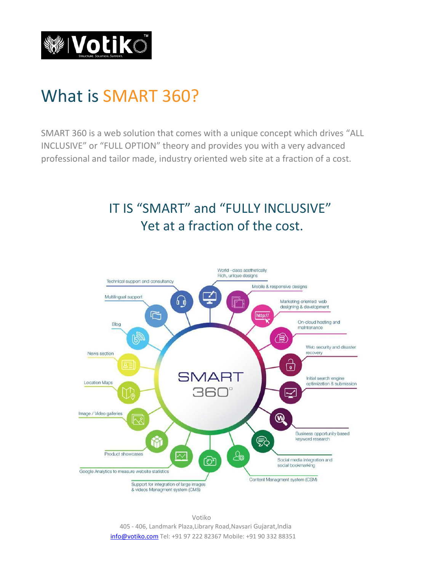

### What is SMART 360?

SMART 360 is a web solution that comes with a unique concept which drives "ALL INCLUSIVE" or "FULL OPTION" theory and provides you with a very advanced professional and tailor made, industry oriented web site at a fraction of a cost.

#### IT IS "SMART" and "FULLY INCLUSIVE" Yet at a fraction of the cost.

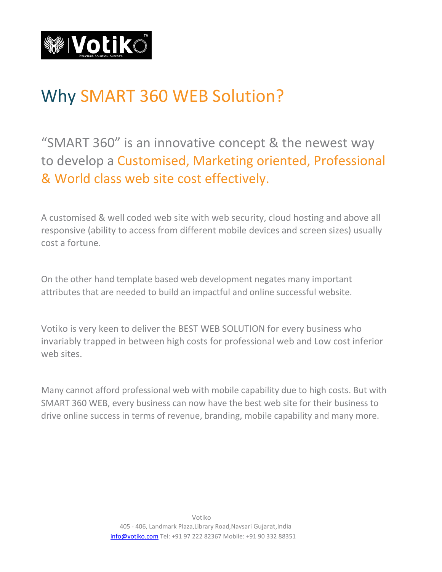

#### Why SMART 360 WEB Solution?

"SMART 360" is an innovative concept & the newest way to develop a Customised, Marketing oriented, Professional & World class web site cost effectively.

A customised & well coded web site with web security, cloud hosting and above all responsive (ability to access from different mobile devices and screen sizes) usually cost a fortune.

On the other hand template based web development negates many important attributes that are needed to build an impactful and online successful website.

Votiko is very keen to deliver the BEST WEB SOLUTION for every business who invariably trapped in between high costs for professional web and Low cost inferior web sites.

Many cannot afford professional web with mobile capability due to high costs. But with SMART 360 WEB, every business can now have the best web site for their business to drive online success in terms of revenue, branding, mobile capability and many more.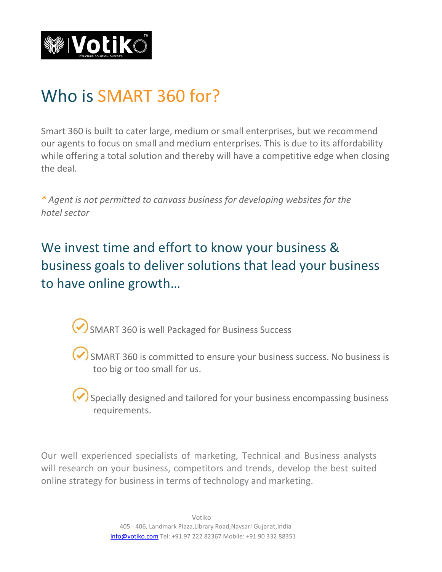

## Who is SMART 360 for?

Smart 360 is built to cater large, medium or small enterprises, but we recommend our agents to focus on small and medium enterprises. This is due to its affordability while offering a total solution and thereby will have a competitive edge when closing the deal.

*\* Agent is not permitted to canvass business for developing websites for the hotel sector*

We invest time and effort to know your business & business goals to deliver solutions that lead your business to have online growth…

SMART 360 is well Packaged for Business Success

SMART 360 is committed to ensure your business success. No business is too big or too small for us.

Specially designed and tailored for your business encompassing business requirements.

Our well experienced specialists of marketing, Technical and Business analysts will research on your business, competitors and trends, develop the best suited online strategy for business in terms of technology and marketing.